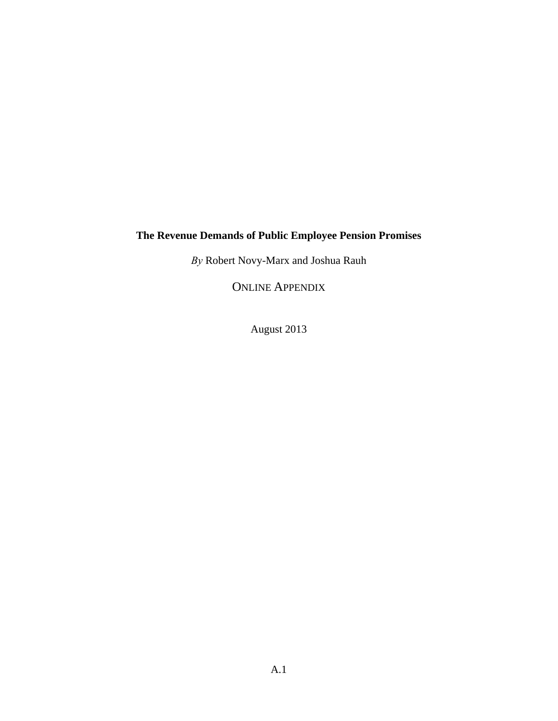# **The Revenue Demands of Public Employee Pension Promises**

*By* Robert Novy-Marx and Joshua Rauh

ONLINE APPENDIX

August 2013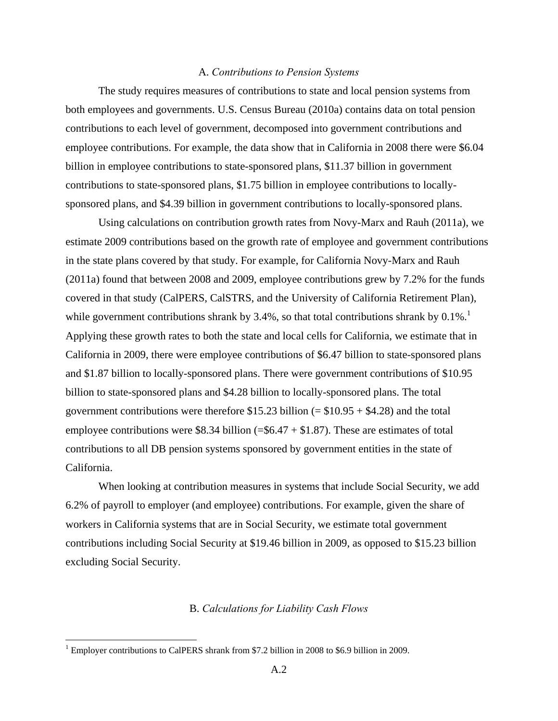#### A. *Contributions to Pension Systems*

 The study requires measures of contributions to state and local pension systems from both employees and governments. U.S. Census Bureau (2010a) contains data on total pension contributions to each level of government, decomposed into government contributions and employee contributions. For example, the data show that in California in 2008 there were \$6.04 billion in employee contributions to state-sponsored plans, \$11.37 billion in government contributions to state-sponsored plans, \$1.75 billion in employee contributions to locallysponsored plans, and \$4.39 billion in government contributions to locally-sponsored plans.

 Using calculations on contribution growth rates from Novy-Marx and Rauh (2011a), we estimate 2009 contributions based on the growth rate of employee and government contributions in the state plans covered by that study. For example, for California Novy-Marx and Rauh (2011a) found that between 2008 and 2009, employee contributions grew by 7.2% for the funds covered in that study (CalPERS, CalSTRS, and the University of California Retirement Plan), while government contributions shrank by 3.4%, so that total contributions shrank by  $0.1\%$ . Applying these growth rates to both the state and local cells for California, we estimate that in California in 2009, there were employee contributions of \$6.47 billion to state-sponsored plans and \$1.87 billion to locally-sponsored plans. There were government contributions of \$10.95 billion to state-sponsored plans and \$4.28 billion to locally-sponsored plans. The total government contributions were therefore  $$15.23$  billion (=  $$10.95 + $4.28$ ) and the total employee contributions were \$8.34 billion (=\$6.47 + \$1.87). These are estimates of total contributions to all DB pension systems sponsored by government entities in the state of California.

 When looking at contribution measures in systems that include Social Security, we add 6.2% of payroll to employer (and employee) contributions. For example, given the share of workers in California systems that are in Social Security, we estimate total government contributions including Social Security at \$19.46 billion in 2009, as opposed to \$15.23 billion excluding Social Security.

### B. *Calculations for Liability Cash Flows*

<u>.</u>

<sup>&</sup>lt;sup>1</sup> Employer contributions to CalPERS shrank from \$7.2 billion in 2008 to \$6.9 billion in 2009.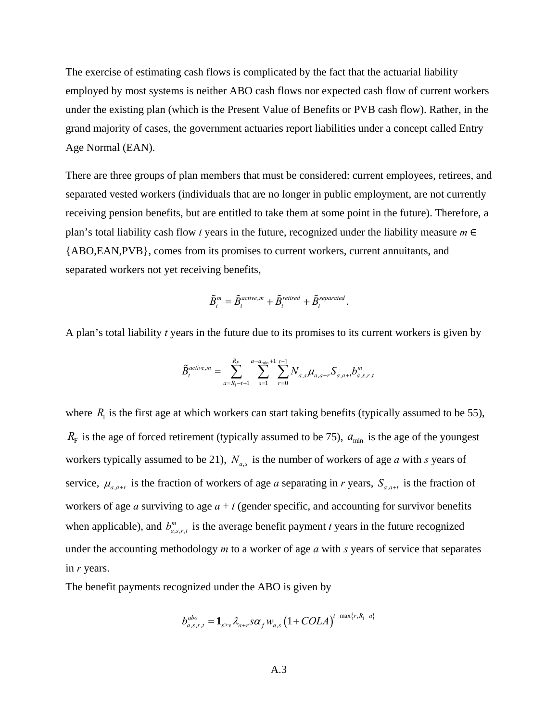The exercise of estimating cash flows is complicated by the fact that the actuarial liability employed by most systems is neither ABO cash flows nor expected cash flow of current workers under the existing plan (which is the Present Value of Benefits or PVB cash flow). Rather, in the grand majority of cases, the government actuaries report liabilities under a concept called Entry Age Normal (EAN).

There are three groups of plan members that must be considered: current employees, retirees, and separated vested workers (individuals that are no longer in public employment, are not currently receiving pension benefits, but are entitled to take them at some point in the future). Therefore, a plan's total liability cash flow *t* years in the future, recognized under the liability measure *m* ∈ {ABO,EAN,PVB}, comes from its promises to current workers, current annuitants, and separated workers not yet receiving benefits,

$$
\tilde{B}_t^m = \tilde{B}_t^{active,m} + \tilde{B}_t^{retired} + \tilde{B}_t^{separated}.
$$

A plan's total liability *t* years in the future due to its promises to its current workers is given by

$$
\tilde{B}_{t}^{active,m} = \sum_{a=R_1-t+1}^{R_F} \sum_{s=1}^{a-a_{\min}+1} \sum_{r=0}^{t-1} N_{a,s} \mu_{a,a+r} S_{a,a+t} b_{a,s,r,t}^m
$$

where  $R<sub>1</sub>$  is the first age at which workers can start taking benefits (typically assumed to be 55),  $R_F$  is the age of forced retirement (typically assumed to be 75),  $a_{\text{min}}$  is the age of the youngest workers typically assumed to be 21),  $N_{a.s}$  is the number of workers of age *a* with *s* years of service,  $\mu_{a,a+r}$  is the fraction of workers of age *a* separating in *r* years,  $S_{a,a+t}$  is the fraction of workers of age *a* surviving to age  $a + t$  (gender specific, and accounting for survivor benefits when applicable), and  $b_{a,s,r,t}^m$  is the average benefit payment *t* years in the future recognized under the accounting methodology *m* to a worker of age *a* with *s* years of service that separates in *r* years.

The benefit payments recognized under the ABO is given by

$$
b_{a,s,r,t}^{abo} = \mathbf{1}_{s \geq v} \lambda_{a+r} s \alpha_f w_{a,s} \left(1 + COLA\right)^{t - \max\{r, R_1 - a\}}
$$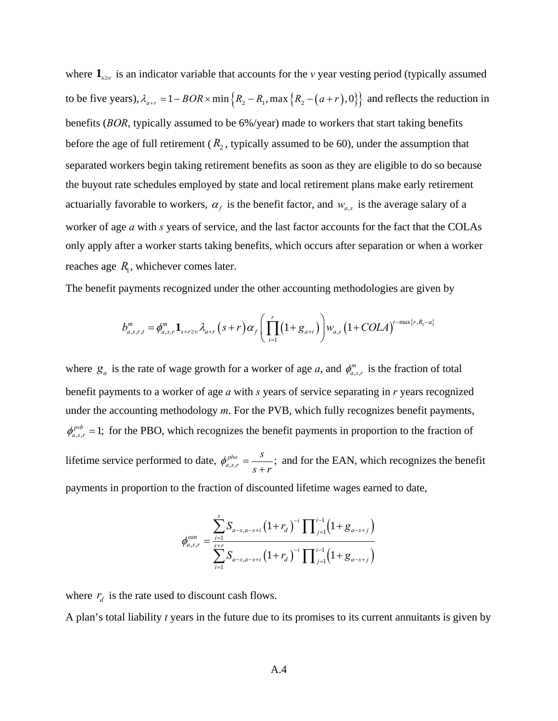where  $\mathbf{1}_{s>v}$  is an indicator variable that accounts for the *v* year vesting period (typically assumed to be five years),  $\lambda_{a+r} = 1 - BOR \times min\{R_2 - R_1, max\{R_2 - (a+r), 0\}\}\)$  and reflects the reduction in benefits (*BOR*, typically assumed to be 6%/year) made to workers that start taking benefits before the age of full retirement  $(R_2,$  typically assumed to be 60), under the assumption that separated workers begin taking retirement benefits as soon as they are eligible to do so because the buyout rate schedules employed by state and local retirement plans make early retirement actuarially favorable to workers,  $\alpha_f$  is the benefit factor, and  $w_{a,s}$  is the average salary of a worker of age *a* with *s* years of service, and the last factor accounts for the fact that the COLAs only apply after a worker starts taking benefits, which occurs after separation or when a worker reaches age  $R_1$ , whichever comes later.

The benefit payments recognized under the other accounting methodologies are given by

$$
b_{a,s,r,t}^m = \phi_{a,s,r}^m \mathbf{1}_{s+r \geq v} \lambda_{a+r} (s+r) \alpha_f \left( \prod_{i=1}^r (1+g_{a+i}) \right) w_{a,s} (1+COLA)^{t-\max\{r,R_1-a\}}
$$

where  $g_a$  is the rate of wage growth for a worker of age *a*, and  $\phi_{a,s,r}^m$  is the fraction of total benefit payments to a worker of age *a* with *s* years of service separating in *r* years recognized under the accounting methodology *m*. For the PVB, which fully recognizes benefit payments,  $\phi_{a.s.r}^{pvb} = 1$ ; for the PBO, which recognizes the benefit payments in proportion to the fraction of lifetime service performed to date,  $\phi_{a,s,r}^{pbo} = \frac{s}{s+1}$ ; *s*  $\phi_{a,s,r}^{pbo} = \frac{s}{s+r}$ ; and for the EAN, which recognizes the benefit payments in proportion to the fraction of discounted lifetime wages earned to date,

$$
\phi_{a,s,r}^{ean} = \frac{\sum_{i=1}^{s} S_{a-s,a-s+i} (1+r_a)^{-i} \prod_{j=1}^{i-1} (1+g_{a-s+j})}{\sum_{i=1}^{s+r} S_{a-s,a-s+i} (1+r_a)^{-i} \prod_{j=1}^{i-1} (1+g_{a-s+j})}
$$

where  $r_d$  is the rate used to discount cash flows.

A plan's total liability *t* years in the future due to its promises to its current annuitants is given by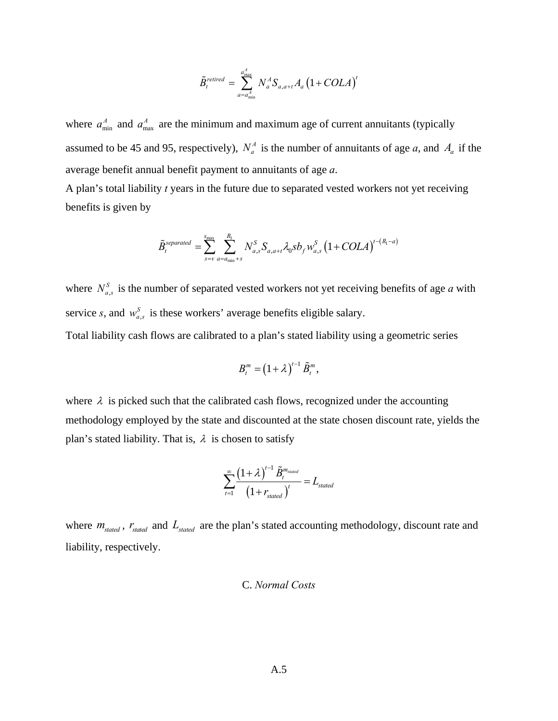$$
\tilde{B}_{t}^{retired} = \sum_{a=a_{\min}^{A}}^{a_{\max}^{A}} N_{a}^{A} S_{a,a+t} A_{a} (1+COLA)^{t}
$$

where  $a_{\min}^A$  and  $a_{\max}^A$  are the minimum and maximum age of current annuitants (typically assumed to be 45 and 95, respectively),  $N_a^A$  is the number of annuitants of age *a*, and  $A_a$  if the average benefit annual benefit payment to annuitants of age *a*.

A plan's total liability *t* years in the future due to separated vested workers not yet receiving benefits is given by

$$
\tilde{B}_{t}^{separated} = \sum_{s=v}^{s_{\text{max}}} \sum_{a=a_{\text{min}}+s}^{R_{1}} N_{a,s}^{S} S_{a,a+t} \lambda_{0} s b_{f} w_{a,s}^{S} \left(1+COLA\right)^{t-(R_{1}-a)}
$$

where  $N_{a,s}^S$  is the number of separated vested workers not yet receiving benefits of age *a* with service *s*, and  $w_{a,s}^S$  is these workers' average benefits eligible salary.

Total liability cash flows are calibrated to a plan's stated liability using a geometric series

$$
B_t^m = (1+\lambda)^{t-1} \tilde{B}_t^m,
$$

where  $\lambda$  is picked such that the calibrated cash flows, recognized under the accounting methodology employed by the state and discounted at the state chosen discount rate, yields the plan's stated liability. That is,  $\lambda$  is chosen to satisfy

$$
\sum_{t=1}^{\infty} \frac{\left(1+\lambda\right)^{t-1} \tilde{B}_{t}^{m_{stated}}}{\left(1+r_{stated}\right)^{t}} = L_{stated}
$$

where  $m_{\text{stated}}$ ,  $r_{\text{stated}}$  and  $L_{\text{stated}}$  are the plan's stated accounting methodology, discount rate and liability, respectively.

### C. *Normal Costs*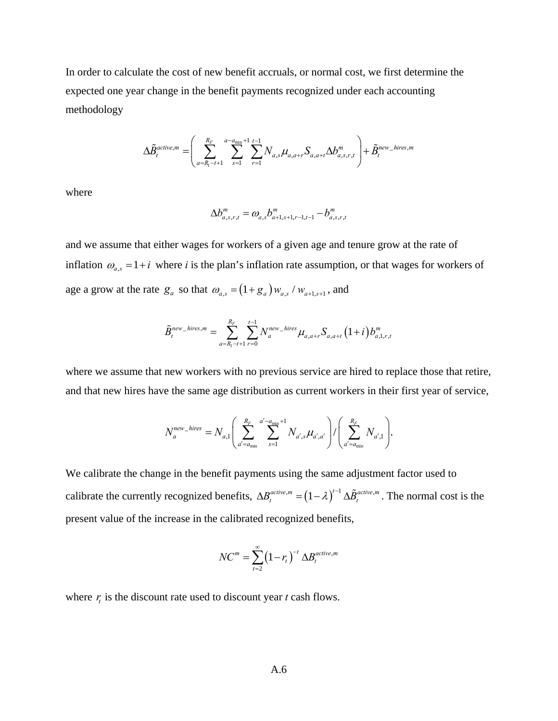In order to calculate the cost of new benefit accruals, or normal cost, we first determine the expected one year change in the benefit payments recognized under each accounting methodology

$$
\Delta \tilde{B}_t^{active,m} = \left( \sum_{a=R_1-t+1}^{R_F} \sum_{s=1}^{a-a_{\min}+1} \sum_{r=1}^{t-1} N_{a,s} \mu_{a,a+r} S_{a,a+t} \Delta b_{a,s,r,t}^m \right) + \tilde{B}_t^{new\_hires,m}
$$

where

$$
\Delta b_{a,s,r,t}^m = \omega_{a,s} b_{a+1,s+1,r-1,t-1}^m - b_{a,s,r,t}^m
$$

and we assume that either wages for workers of a given age and tenure grow at the rate of inflation  $\omega_{a,s} = 1 + i$  where *i* is the plan's inflation rate assumption, or that wages for workers of age a grow at the rate  $g_a$  so that  $\omega_{a,s} = (1 + g_a) w_{a,s} / w_{a+1,s+1}$ , and

$$
\tilde{B}_{t}^{new\_hires,m} = \sum_{a=R_1-t+1}^{R_F} \sum_{r=0}^{t-1} N_a^{new\_hires} \mu_{a,a+r} S_{a,a+t} (1+i) b_{a,1,r,t}^m
$$

where we assume that new workers with no previous service are hired to replace those that retire, and that new hires have the same age distribution as current workers in their first year of service,

$$
N_a^{new\_hires} = N_{a,1} \left( \sum_{a'=a_{\min}}^{R_F} \sum_{s=1}^{a'-a_{\min}+1} N_{a',s} \mu_{a',a'} \right) / \left( \sum_{a'=a_{\min}}^{R_F} N_{a',1} \right).
$$

We calibrate the change in the benefit payments using the same adjustment factor used to calibrate the currently recognized benefits,  $\Delta B_t^{active,m} = (1 - \lambda)^{t-1} \Delta \tilde{B}_t^{active,m}$ . The normal cost is the present value of the increase in the calibrated recognized benefits,

$$
NC^m = \sum_{t=2}^{\infty} (1 - r_t)^{-t} \Delta B_t^{active,m}
$$

where  $r<sub>t</sub>$  is the discount rate used to discount year  $t$  cash flows.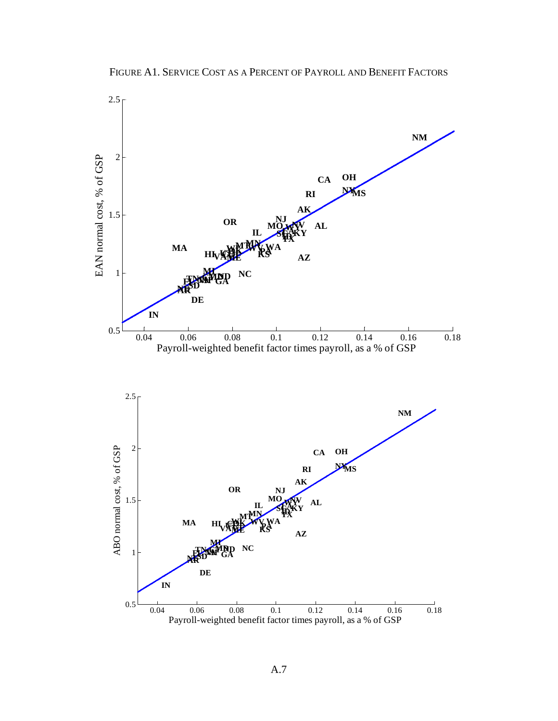FIGURE A1. SERVICE COST AS A PERCENT OF PAYROLL AND BENEFIT FACTORS

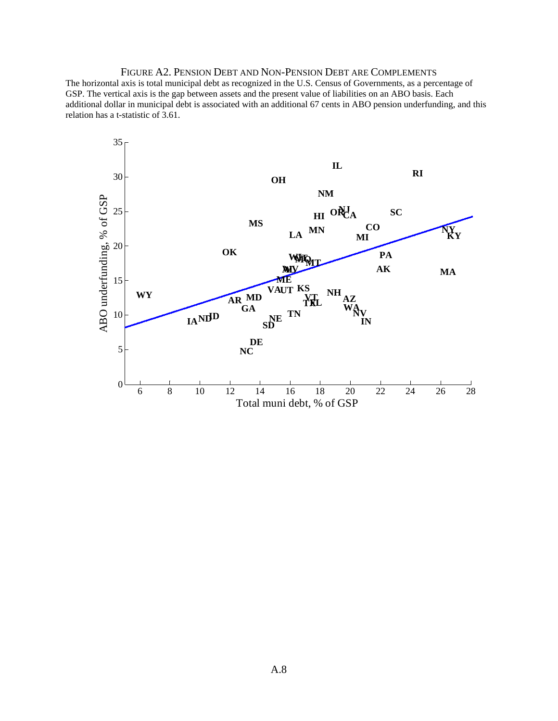FIGURE A2. PENSION DEBT AND NON-PENSION DEBT ARE COMPLEMENTS The horizontal axis is total municipal debt as recognized in the U.S. Census of Governments, as a percentage of GSP. The vertical axis is the gap between assets and the present value of liabilities on an ABO basis. Each additional dollar in municipal debt is associated with an additional 67 cents in ABO pension underfunding, and this relation has a t-statistic of 3.61.

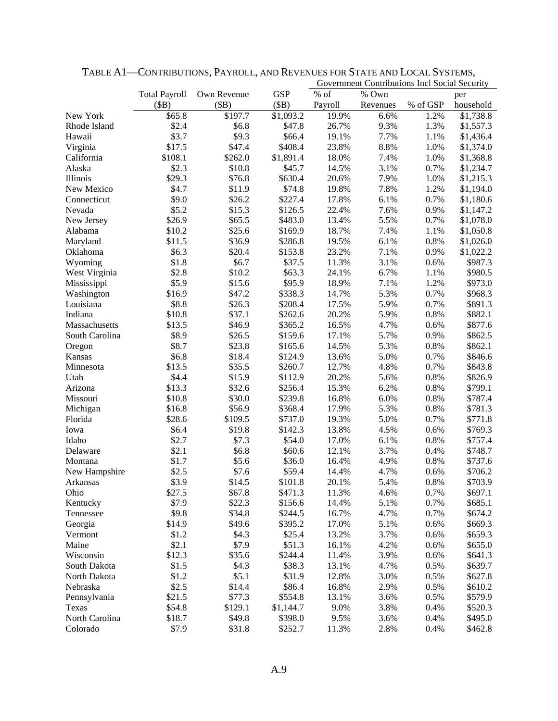|                              |                      |             |                  | Government Contributions Incl Social Security |          |          |                    |
|------------------------------|----------------------|-------------|------------------|-----------------------------------------------|----------|----------|--------------------|
|                              | <b>Total Payroll</b> | Own Revenue | <b>GSP</b>       | $%$ of                                        | % Own    |          | per                |
|                              | (SB)                 | (SB)        | (SB)             | Payroll                                       | Revenues | % of GSP | household          |
| New York                     | \$65.8               | \$197.7     | \$1,093.2        | 19.9%                                         | 6.6%     | 1.2%     | \$1,738.8          |
| Rhode Island                 | \$2.4                | \$6.8       | \$47.8           | 26.7%                                         | 9.3%     | 1.3%     | \$1,557.3          |
| Hawaii                       | \$3.7                | \$9.3       | \$66.4           | 19.1%                                         | 7.7%     | 1.1%     | \$1,436.4          |
| Virginia                     | \$17.5               | \$47.4      | \$408.4          | 23.8%                                         | 8.8%     | 1.0%     | \$1,374.0          |
| California                   | \$108.1              | \$262.0     | \$1,891.4        | 18.0%                                         | 7.4%     | 1.0%     | \$1,368.8          |
| Alaska                       | \$2.3                | \$10.8      | \$45.7           | 14.5%                                         | 3.1%     | 0.7%     | \$1,234.7          |
| Illinois                     | \$29.3               | \$76.8      | \$630.4          | 20.6%                                         | 7.9%     | 1.0%     | \$1,215.3          |
| New Mexico                   | \$4.7                | \$11.9      | \$74.8           | 19.8%                                         | 7.8%     | 1.2%     | \$1,194.0          |
| Connecticut                  | \$9.0                | \$26.2      | \$227.4          | 17.8%                                         | 6.1%     | 0.7%     | \$1,180.6          |
| Nevada                       | \$5.2                | \$15.3      | \$126.5          | 22.4%                                         | 7.6%     | 0.9%     | \$1,147.2          |
| New Jersey                   | \$26.9               | \$65.5      | \$483.0          | 13.4%                                         | 5.5%     | 0.7%     | \$1,078.0          |
| Alabama                      | \$10.2               | \$25.6      | \$169.9          | 18.7%                                         | 7.4%     | 1.1%     | \$1,050.8          |
| Maryland                     | \$11.5               | \$36.9      | \$286.8          | 19.5%                                         | 6.1%     | 0.8%     | \$1,026.0          |
| Oklahoma                     | \$6.3                | \$20.4      | \$153.8          | 23.2%                                         | 7.1%     | 0.9%     | \$1,022.2          |
| Wyoming                      | \$1.8                | \$6.7       | \$37.5           | 11.3%                                         | 3.1%     | 0.6%     | \$987.3            |
| West Virginia                | \$2.8                | \$10.2      | \$63.3           | 24.1%                                         | 6.7%     | 1.1%     | \$980.5            |
| Mississippi                  | \$5.9                | \$15.6      | \$95.9           | 18.9%                                         | 7.1%     | 1.2%     | \$973.0            |
| Washington                   | \$16.9               | \$47.2      | \$338.3          | 14.7%                                         | 5.3%     | 0.7%     | \$968.3            |
| Louisiana                    | \$8.8                | \$26.3      | \$208.4          | 17.5%                                         | 5.9%     | 0.7%     | \$891.3            |
| Indiana                      | \$10.8               | \$37.1      | \$262.6          | 20.2%                                         | 5.9%     | 0.8%     | \$882.1            |
| Massachusetts                | \$13.5               | \$46.9      | \$365.2          | 16.5%                                         | 4.7%     | 0.6%     | \$877.6            |
| South Carolina               | \$8.9                | \$26.5      | \$159.6          | 17.1%                                         | 5.7%     | 0.9%     | \$862.5            |
| Oregon                       | \$8.7                | \$23.8      | \$165.6          | 14.5%                                         | 5.3%     | 0.8%     | \$862.1            |
| Kansas                       | \$6.8                | \$18.4      | \$124.9          | 13.6%                                         | 5.0%     | 0.7%     | \$846.6            |
| Minnesota                    | \$13.5               | \$35.5      | \$260.7          | 12.7%                                         | 4.8%     | 0.7%     | \$843.8            |
| Utah                         | \$4.4                | \$15.9      | \$112.9          | 20.2%                                         | 5.6%     | 0.8%     | \$826.9            |
| Arizona                      | \$13.3               | \$32.6      | \$256.4          | 15.3%                                         | 6.2%     | 0.8%     | \$799.1            |
| Missouri                     | \$10.8               | \$30.0      | \$239.8          | 16.8%                                         | 6.0%     | 0.8%     | \$787.4            |
| Michigan                     | \$16.8               | \$56.9      | \$368.4          | 17.9%                                         | 5.3%     | 0.8%     | \$781.3            |
| Florida                      | \$28.6               | \$109.5     | \$737.0          | 19.3%                                         | 5.0%     | 0.7%     | \$771.8            |
| Iowa                         | \$6.4                | \$19.8      | \$142.3          | 13.8%                                         | 4.5%     | 0.6%     | \$769.3            |
| Idaho                        | \$2.7                | \$7.3       | \$54.0           | 17.0%                                         | 6.1%     | 0.8%     | \$757.4            |
| Delaware                     | \$2.1                | \$6.8       | \$60.6           | 12.1%                                         | 3.7%     | 0.4%     | \$748.7            |
| Montana                      | \$1.7                | \$5.6       | \$36.0           | 16.4%                                         | 4.9%     | 0.8%     | \$737.6            |
| New Hampshire                | \$2.5                | \$7.6       | \$59.4           | 14.4%                                         | 4.7%     | 0.6%     | \$706.2            |
| Arkansas                     | \$3.9                | \$14.5      | \$101.8          | 20.1%                                         | 5.4%     | 0.8%     | \$703.9            |
| Ohio                         | \$27.5               | \$67.8      | \$471.3          | 11.3%                                         | 4.6%     | 0.7%     | \$697.1            |
| Kentucky                     | \$7.9                | \$22.3      | \$156.6          | 14.4%                                         | 5.1%     | 0.7%     | \$685.1            |
| Tennessee                    | \$9.8                | \$34.8      | \$244.5          | 16.7%                                         | 4.7%     | 0.7%     | \$674.2            |
| Georgia                      | \$14.9               | \$49.6      | \$395.2          | 17.0%                                         | 5.1%     | 0.6%     | \$669.3            |
| Vermont                      | \$1.2                | \$4.3       | \$25.4           | 13.2%                                         | 3.7%     | 0.6%     | \$659.3            |
| Maine                        | \$2.1                | \$7.9       | \$51.3           | 16.1%                                         | 4.2%     | 0.6%     | \$655.0            |
| Wisconsin                    | \$12.3               | \$35.6      | \$244.4          | 11.4%                                         | 3.9%     | 0.6%     | \$641.3            |
|                              | \$1.5                | \$4.3       |                  |                                               | 4.7%     | 0.5%     |                    |
| South Dakota<br>North Dakota | \$1.2                | \$5.1       | \$38.3<br>\$31.9 | 13.1%                                         |          | 0.5%     | \$639.7<br>\$627.8 |
|                              |                      | \$14.4      |                  | 12.8%                                         | 3.0%     |          |                    |
| Nebraska                     | \$2.5                |             | \$86.4           | 16.8%                                         | 2.9%     | 0.5%     | \$610.2            |
| Pennsylvania                 | \$21.5               | \$77.3      | \$554.8          | 13.1%                                         | 3.6%     | 0.5%     | \$579.9            |
| Texas                        | \$54.8               | \$129.1     | \$1,144.7        | 9.0%                                          | 3.8%     | 0.4%     | \$520.3            |
| North Carolina               | \$18.7               | \$49.8      | \$398.0          | 9.5%                                          | 3.6%     | 0.4%     | \$495.0            |
| Colorado                     | \$7.9                | \$31.8      | \$252.7          | 11.3%                                         | 2.8%     | 0.4%     | \$462.8            |

TABLE A1—CONTRIBUTIONS, PAYROLL, AND REVENUES FOR STATE AND LOCAL SYSTEMS,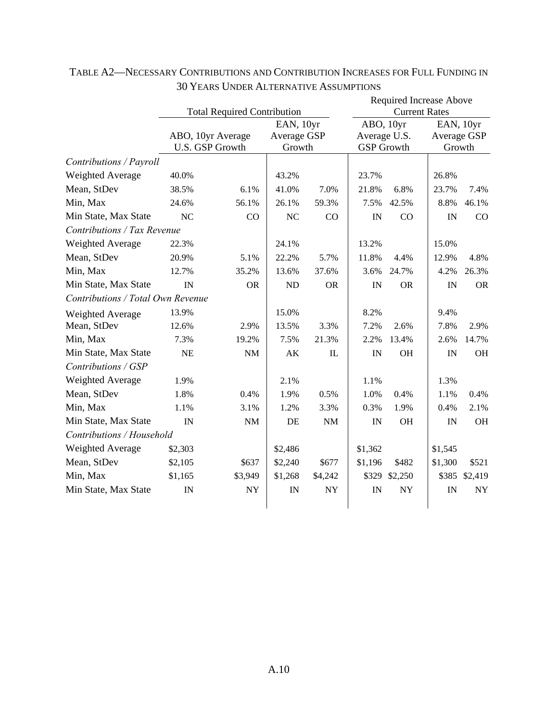|                                   |                                    |                        |             |            |                      | <b>Required Increase Above</b> |         |             |  |
|-----------------------------------|------------------------------------|------------------------|-------------|------------|----------------------|--------------------------------|---------|-------------|--|
|                                   | <b>Total Required Contribution</b> |                        |             |            | <b>Current Rates</b> |                                |         |             |  |
|                                   |                                    |                        | EAN, 10yr   |            |                      | ABO, 10yr                      |         | EAN, 10yr   |  |
|                                   | ABO, 10yr Average                  |                        | Average GSP |            | Average U.S.         |                                |         | Average GSP |  |
|                                   |                                    | <b>U.S. GSP Growth</b> | Growth      |            | <b>GSP</b> Growth    |                                |         | Growth      |  |
| Contributions / Payroll           |                                    |                        |             |            |                      |                                |         |             |  |
| Weighted Average                  | 40.0%                              |                        | 43.2%       |            | 23.7%                |                                | 26.8%   |             |  |
| Mean, StDev                       | 38.5%                              | 6.1%                   | 41.0%       | 7.0%       | 21.8%                | 6.8%                           | 23.7%   | 7.4%        |  |
| Min, Max                          | 24.6%                              | 56.1%                  | 26.1%       | 59.3%      | 7.5%                 | 42.5%                          | 8.8%    | 46.1%       |  |
| Min State, Max State              | NC                                 | CO                     | NC          | CO         | IN                   | CO                             | IN      | CO          |  |
| Contributions / Tax Revenue       |                                    |                        |             |            |                      |                                |         |             |  |
| Weighted Average                  | 22.3%                              |                        | 24.1%       |            | 13.2%                |                                | 15.0%   |             |  |
| Mean, StDev                       | 20.9%                              | 5.1%                   | 22.2%       | 5.7%       | 11.8%                | 4.4%                           | 12.9%   | 4.8%        |  |
| Min, Max                          | 12.7%                              | 35.2%                  | 13.6%       | 37.6%      | 3.6%                 | 24.7%                          | 4.2%    | 26.3%       |  |
| Min State, Max State              | IN                                 | <b>OR</b>              | ND          | <b>OR</b>  | IN                   | <b>OR</b>                      | IN      | <b>OR</b>   |  |
| Contributions / Total Own Revenue |                                    |                        |             |            |                      |                                |         |             |  |
| <b>Weighted Average</b>           | 13.9%                              |                        | 15.0%       |            | 8.2%                 |                                | 9.4%    |             |  |
| Mean, StDev                       | 12.6%                              | 2.9%                   | 13.5%       | 3.3%       | 7.2%                 | 2.6%                           | 7.8%    | 2.9%        |  |
| Min, Max                          | 7.3%                               | 19.2%                  | 7.5%        | 21.3%      | 2.2%                 | 13.4%                          | 2.6%    | 14.7%       |  |
| Min State, Max State              | <b>NE</b>                          | $\rm{NM}$              | AK          | IL         | IN                   | OH                             | IN      | OH          |  |
| Contributions / GSP               |                                    |                        |             |            |                      |                                |         |             |  |
| Weighted Average                  | 1.9%                               |                        | 2.1%        |            | 1.1%                 |                                | 1.3%    |             |  |
| Mean, StDev                       | 1.8%                               | 0.4%                   | 1.9%        | 0.5%       | 1.0%                 | 0.4%                           | 1.1%    | 0.4%        |  |
| Min, Max                          | 1.1%                               | 3.1%                   | 1.2%        | 3.3%       | 0.3%                 | 1.9%                           | 0.4%    | 2.1%        |  |
| Min State, Max State              | IN                                 | $\rm{NM}$              | DE          | NM         | IN                   | <b>OH</b>                      | IN      | <b>OH</b>   |  |
| Contributions / Household         |                                    |                        |             |            |                      |                                |         |             |  |
| Weighted Average                  | \$2,303                            |                        | \$2,486     |            | \$1,362              |                                | \$1,545 |             |  |
| Mean, StDev                       | \$2,105                            | \$637                  | \$2,240     | \$677      | \$1,196              | \$482                          | \$1,300 | \$521       |  |
| Min, Max                          | \$1,165                            | \$3,949                | \$1,268     | \$4,242    | \$329                | \$2,250                        | \$385   | \$2,419     |  |
| Min State, Max State              | IN                                 | ${\rm NY}$             | IN          | ${\rm NY}$ | IN                   | <b>NY</b>                      | IN      | <b>NY</b>   |  |
|                                   |                                    |                        |             |            |                      |                                |         |             |  |

## TABLE A2—NECESSARY CONTRIBUTIONS AND CONTRIBUTION INCREASES FOR FULL FUNDING IN 30 YEARS UNDER ALTERNATIVE ASSUMPTIONS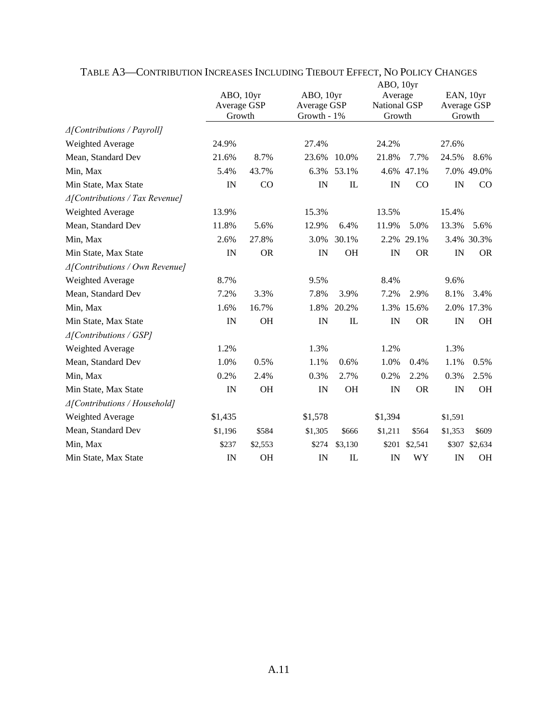|                                           |                                    |           |                                         |              | ABO, 10yr                                |            |                                    |            |
|-------------------------------------------|------------------------------------|-----------|-----------------------------------------|--------------|------------------------------------------|------------|------------------------------------|------------|
|                                           | ABO, 10yr<br>Average GSP<br>Growth |           | ABO, 10yr<br>Average GSP<br>Growth - 1% |              | Average<br><b>National GSP</b><br>Growth |            | EAN, 10yr<br>Average GSP<br>Growth |            |
|                                           |                                    |           |                                         |              |                                          |            |                                    |            |
|                                           |                                    |           |                                         |              |                                          |            |                                    |            |
| $\triangle$ [Contributions / Payroll]     |                                    |           |                                         |              |                                          |            |                                    |            |
| Weighted Average                          | 24.9%                              |           | 27.4%                                   |              | 24.2%                                    |            | 27.6%                              |            |
| Mean, Standard Dev                        | 21.6%                              | 8.7%      | 23.6%                                   | 10.0%        | 21.8%                                    | 7.7%       | 24.5%                              | 8.6%       |
| Min, Max                                  | 5.4%                               | 43.7%     | 6.3%                                    | 53.1%        |                                          | 4.6% 47.1% |                                    | 7.0% 49.0% |
| Min State, Max State                      | IN                                 | CO        | IN                                      | $\mathbf{I}$ | IN                                       | CO         | IN                                 | CO         |
| $\triangle$ [Contributions / Tax Revenue] |                                    |           |                                         |              |                                          |            |                                    |            |
| Weighted Average                          | 13.9%                              |           | 15.3%                                   |              | 13.5%                                    |            | 15.4%                              |            |
| Mean, Standard Dev                        | 11.8%                              | 5.6%      | 12.9%                                   | 6.4%         | 11.9%                                    | 5.0%       | 13.3%                              | 5.6%       |
| Min, Max                                  | 2.6%                               | 27.8%     | 3.0%                                    | 30.1%        |                                          | 2.2% 29.1% |                                    | 3.4% 30.3% |
| Min State, Max State                      | IN                                 | <b>OR</b> | IN                                      | OH           | IN                                       | <b>OR</b>  | IN                                 | <b>OR</b>  |
| $\triangle$ [Contributions / Own Revenue] |                                    |           |                                         |              |                                          |            |                                    |            |
| Weighted Average                          | 8.7%                               |           | 9.5%                                    |              | 8.4%                                     |            | 9.6%                               |            |
| Mean, Standard Dev                        | 7.2%                               | 3.3%      | 7.8%                                    | 3.9%         | 7.2%                                     | 2.9%       | 8.1%                               | 3.4%       |
| Min, Max                                  | 1.6%                               | 16.7%     | 1.8%                                    | 20.2%        |                                          | 1.3% 15.6% |                                    | 2.0% 17.3% |
| Min State, Max State                      | IN                                 | OH        | IN                                      | IL           | IN                                       | <b>OR</b>  | IN                                 | <b>OH</b>  |
| $\triangle$ [Contributions / GSP]         |                                    |           |                                         |              |                                          |            |                                    |            |
| Weighted Average                          | 1.2%                               |           | 1.3%                                    |              | 1.2%                                     |            | 1.3%                               |            |
| Mean, Standard Dev                        | 1.0%                               | 0.5%      | 1.1%                                    | 0.6%         | 1.0%                                     | 0.4%       | 1.1%                               | 0.5%       |
| Min, Max                                  | 0.2%                               | 2.4%      | 0.3%                                    | 2.7%         | 0.2%                                     | 2.2%       | 0.3%                               | 2.5%       |
| Min State, Max State                      | IN                                 | OH        | IN                                      | OH           | IN                                       | <b>OR</b>  | IN                                 | <b>OH</b>  |
| ∆[Contributions / Household]              |                                    |           |                                         |              |                                          |            |                                    |            |
| Weighted Average                          | \$1,435                            |           | \$1,578                                 |              | \$1,394                                  |            | \$1,591                            |            |
| Mean, Standard Dev                        | \$1,196                            | \$584     | \$1,305                                 | \$666        | \$1,211                                  | \$564      | \$1,353                            | \$609      |
| Min, Max                                  | \$237                              | \$2,553   | \$274                                   | \$3,130      | \$201                                    | \$2,541    | \$307                              | \$2,634    |
| Min State, Max State                      | IN                                 | <b>OH</b> | IN                                      | IL           | IN                                       | WY         | IN                                 | <b>OH</b>  |

TABLE A3—CONTRIBUTION INCREASES INCLUDING TIEBOUT EFFECT, NO POLICY CHANGES